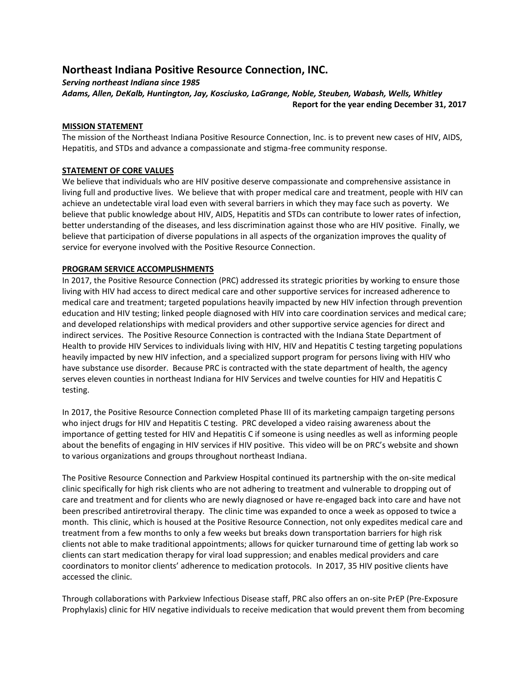# **Northeast Indiana Positive Resource Connection, INC.**

*Serving northeast Indiana since 1985*

*Adams, Allen, DeKalb, Huntington, Jay, Kosciusko, LaGrange, Noble, Steuben, Wabash, Wells, Whitley* **Report for the year ending December 31, 2017**

# **MISSION STATEMENT**

The mission of the Northeast Indiana Positive Resource Connection, Inc. is to prevent new cases of HIV, AIDS, Hepatitis, and STDs and advance a compassionate and stigma-free community response.

# **STATEMENT OF CORE VALUES**

We believe that individuals who are HIV positive deserve compassionate and comprehensive assistance in living full and productive lives. We believe that with proper medical care and treatment, people with HIV can achieve an undetectable viral load even with several barriers in which they may face such as poverty. We believe that public knowledge about HIV, AIDS, Hepatitis and STDs can contribute to lower rates of infection, better understanding of the diseases, and less discrimination against those who are HIV positive. Finally, we believe that participation of diverse populations in all aspects of the organization improves the quality of service for everyone involved with the Positive Resource Connection.

# **PROGRAM SERVICE ACCOMPLISHMENTS**

In 2017, the Positive Resource Connection (PRC) addressed its strategic priorities by working to ensure those living with HIV had access to direct medical care and other supportive services for increased adherence to medical care and treatment; targeted populations heavily impacted by new HIV infection through prevention education and HIV testing; linked people diagnosed with HIV into care coordination services and medical care; and developed relationships with medical providers and other supportive service agencies for direct and indirect services. The Positive Resource Connection is contracted with the Indiana State Department of Health to provide HIV Services to individuals living with HIV, HIV and Hepatitis C testing targeting populations heavily impacted by new HIV infection, and a specialized support program for persons living with HIV who have substance use disorder. Because PRC is contracted with the state department of health, the agency serves eleven counties in northeast Indiana for HIV Services and twelve counties for HIV and Hepatitis C testing.

In 2017, the Positive Resource Connection completed Phase III of its marketing campaign targeting persons who inject drugs for HIV and Hepatitis C testing. PRC developed a video raising awareness about the importance of getting tested for HIV and Hepatitis C if someone is using needles as well as informing people about the benefits of engaging in HIV services if HIV positive. This video will be on PRC's website and shown to various organizations and groups throughout northeast Indiana.

The Positive Resource Connection and Parkview Hospital continued its partnership with the on-site medical clinic specifically for high risk clients who are not adhering to treatment and vulnerable to dropping out of care and treatment and for clients who are newly diagnosed or have re-engaged back into care and have not been prescribed antiretroviral therapy. The clinic time was expanded to once a week as opposed to twice a month. This clinic, which is housed at the Positive Resource Connection, not only expedites medical care and treatment from a few months to only a few weeks but breaks down transportation barriers for high risk clients not able to make traditional appointments; allows for quicker turnaround time of getting lab work so clients can start medication therapy for viral load suppression; and enables medical providers and care coordinators to monitor clients' adherence to medication protocols. In 2017, 35 HIV positive clients have accessed the clinic.

Through collaborations with Parkview Infectious Disease staff, PRC also offers an on-site PrEP (Pre-Exposure Prophylaxis) clinic for HIV negative individuals to receive medication that would prevent them from becoming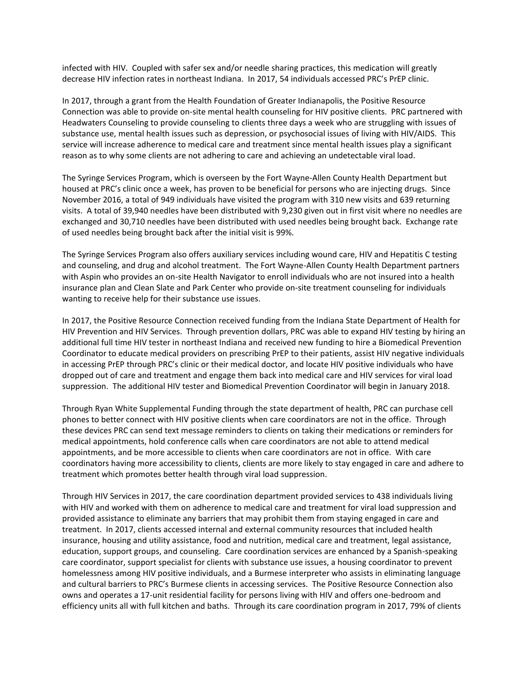infected with HIV. Coupled with safer sex and/or needle sharing practices, this medication will greatly decrease HIV infection rates in northeast Indiana. In 2017, 54 individuals accessed PRC's PrEP clinic.

In 2017, through a grant from the Health Foundation of Greater Indianapolis, the Positive Resource Connection was able to provide on-site mental health counseling for HIV positive clients. PRC partnered with Headwaters Counseling to provide counseling to clients three days a week who are struggling with issues of substance use, mental health issues such as depression, or psychosocial issues of living with HIV/AIDS. This service will increase adherence to medical care and treatment since mental health issues play a significant reason as to why some clients are not adhering to care and achieving an undetectable viral load.

The Syringe Services Program, which is overseen by the Fort Wayne-Allen County Health Department but housed at PRC's clinic once a week, has proven to be beneficial for persons who are injecting drugs. Since November 2016, a total of 949 individuals have visited the program with 310 new visits and 639 returning visits. A total of 39,940 needles have been distributed with 9,230 given out in first visit where no needles are exchanged and 30,710 needles have been distributed with used needles being brought back. Exchange rate of used needles being brought back after the initial visit is 99%.

The Syringe Services Program also offers auxiliary services including wound care, HIV and Hepatitis C testing and counseling, and drug and alcohol treatment. The Fort Wayne-Allen County Health Department partners with Aspin who provides an on-site Health Navigator to enroll individuals who are not insured into a health insurance plan and Clean Slate and Park Center who provide on-site treatment counseling for individuals wanting to receive help for their substance use issues.

In 2017, the Positive Resource Connection received funding from the Indiana State Department of Health for HIV Prevention and HIV Services. Through prevention dollars, PRC was able to expand HIV testing by hiring an additional full time HIV tester in northeast Indiana and received new funding to hire a Biomedical Prevention Coordinator to educate medical providers on prescribing PrEP to their patients, assist HIV negative individuals in accessing PrEP through PRC's clinic or their medical doctor, and locate HIV positive individuals who have dropped out of care and treatment and engage them back into medical care and HIV services for viral load suppression. The additional HIV tester and Biomedical Prevention Coordinator will begin in January 2018.

Through Ryan White Supplemental Funding through the state department of health, PRC can purchase cell phones to better connect with HIV positive clients when care coordinators are not in the office. Through these devices PRC can send text message reminders to clients on taking their medications or reminders for medical appointments, hold conference calls when care coordinators are not able to attend medical appointments, and be more accessible to clients when care coordinators are not in office. With care coordinators having more accessibility to clients, clients are more likely to stay engaged in care and adhere to treatment which promotes better health through viral load suppression.

Through HIV Services in 2017, the care coordination department provided services to 438 individuals living with HIV and worked with them on adherence to medical care and treatment for viral load suppression and provided assistance to eliminate any barriers that may prohibit them from staying engaged in care and treatment. In 2017, clients accessed internal and external community resources that included health insurance, housing and utility assistance, food and nutrition, medical care and treatment, legal assistance, education, support groups, and counseling. Care coordination services are enhanced by a Spanish-speaking care coordinator, support specialist for clients with substance use issues, a housing coordinator to prevent homelessness among HIV positive individuals, and a Burmese interpreter who assists in eliminating language and cultural barriers to PRC's Burmese clients in accessing services. The Positive Resource Connection also owns and operates a 17-unit residential facility for persons living with HIV and offers one-bedroom and efficiency units all with full kitchen and baths. Through its care coordination program in 2017, 79% of clients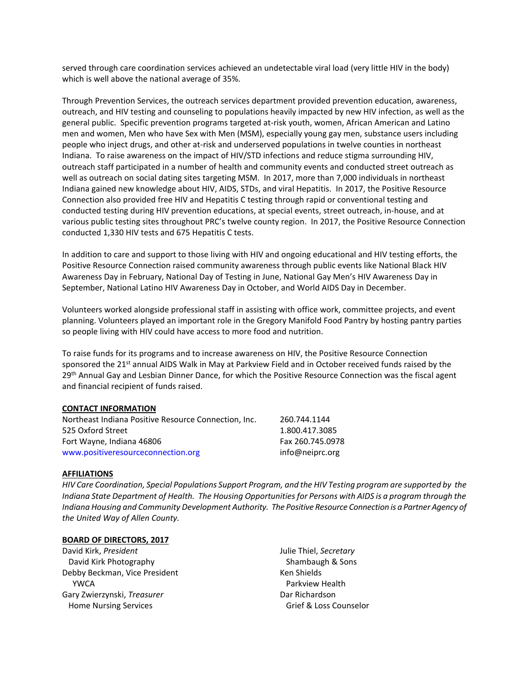served through care coordination services achieved an undetectable viral load (very little HIV in the body) which is well above the national average of 35%.

Through Prevention Services, the outreach services department provided prevention education, awareness, outreach, and HIV testing and counseling to populations heavily impacted by new HIV infection, as well as the general public. Specific prevention programs targeted at-risk youth, women, African American and Latino men and women, Men who have Sex with Men (MSM), especially young gay men, substance users including people who inject drugs, and other at-risk and underserved populations in twelve counties in northeast Indiana. To raise awareness on the impact of HIV/STD infections and reduce stigma surrounding HIV, outreach staff participated in a number of health and community events and conducted street outreach as well as outreach on social dating sites targeting MSM. In 2017, more than 7,000 individuals in northeast Indiana gained new knowledge about HIV, AIDS, STDs, and viral Hepatitis. In 2017, the Positive Resource Connection also provided free HIV and Hepatitis C testing through rapid or conventional testing and conducted testing during HIV prevention educations, at special events, street outreach, in-house, and at various public testing sites throughout PRC's twelve county region. In 2017, the Positive Resource Connection conducted 1,330 HIV tests and 675 Hepatitis C tests.

In addition to care and support to those living with HIV and ongoing educational and HIV testing efforts, the Positive Resource Connection raised community awareness through public events like National Black HIV Awareness Day in February, National Day of Testing in June, National Gay Men's HIV Awareness Day in September, National Latino HIV Awareness Day in October, and World AIDS Day in December.

Volunteers worked alongside professional staff in assisting with office work, committee projects, and event planning. Volunteers played an important role in the Gregory Manifold Food Pantry by hosting pantry parties so people living with HIV could have access to more food and nutrition.

To raise funds for its programs and to increase awareness on HIV, the Positive Resource Connection sponsored the 21<sup>st</sup> annual AIDS Walk in May at Parkview Field and in October received funds raised by the 29<sup>th</sup> Annual Gay and Lesbian Dinner Dance, for which the Positive Resource Connection was the fiscal agent and financial recipient of funds raised.

## **CONTACT INFORMATION**

| Northeast Indiana Positive Resource Connection. Inc. | 260.744.1144     |
|------------------------------------------------------|------------------|
| 525 Oxford Street                                    | 1.800.417.3085   |
| Fort Wayne, Indiana 46806                            | Fax 260.745.0978 |
| www.positiveresourceconnection.org                   | info@neiprc.org  |

#### **AFFILIATIONS**

*HIV Care Coordination, Special Populations Support Program, and the HIV Testing program are supported by the Indiana State Department of Health. The Housing Opportunities for Persons with AIDS is a program through the Indiana Housing and Community Development Authority. The Positive Resource Connection is a Partner Agency of the United Way of Allen County.*

#### **BOARD OF DIRECTORS, 2017**

David Kirk, *President* David Kirk Photography Debby Beckman, Vice President YWCA Gary Zwierzynski, *Treasurer* Home Nursing Services

Julie Thiel, *Secretary* Shambaugh & Sons Ken Shields Parkview Health Dar Richardson Grief & Loss Counselor